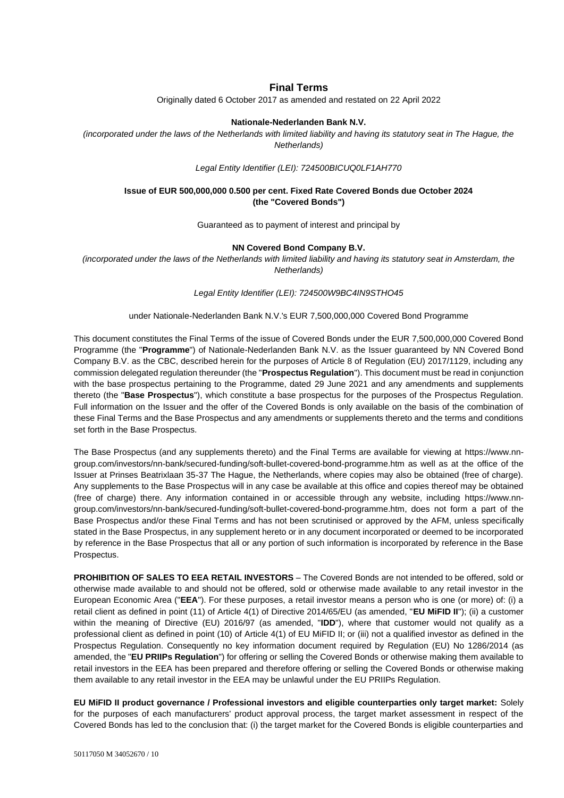### **Final Terms**

Originally dated 6 October 2017 as amended and restated on 22 April 2022

#### **Nationale-Nederlanden Bank N.V.**

*(incorporated under the laws of the Netherlands with limited liability and having its statutory seat in The Hague, the Netherlands)*

*Legal Entity Identifier (LEI): 724500BICUQ0LF1AH770*

### **Issue of EUR 500,000,000 0.500 per cent. Fixed Rate Covered Bonds due October 2024 (the "Covered Bonds")**

Guaranteed as to payment of interest and principal by

#### **NN Covered Bond Company B.V.**

*(incorporated under the laws of the Netherlands with limited liability and having its statutory seat in Amsterdam, the Netherlands)*

*Legal Entity Identifier (LEI): 724500W9BC4IN9STHO45*

#### under Nationale-Nederlanden Bank N.V.'s EUR 7,500,000,000 Covered Bond Programme

This document constitutes the Final Terms of the issue of Covered Bonds under the EUR 7,500,000,000 Covered Bond Programme (the "**Programme**") of Nationale-Nederlanden Bank N.V. as the Issuer guaranteed by NN Covered Bond Company B.V. as the CBC, described herein for the purposes of Article 8 of Regulation (EU) 2017/1129, including any commission delegated regulation thereunder (the "**Prospectus Regulation**"). This document must be read in conjunction with the base prospectus pertaining to the Programme, dated 29 June 2021 and any amendments and supplements thereto (the "**Base Prospectus**"), which constitute a base prospectus for the purposes of the Prospectus Regulation. Full information on the Issuer and the offer of the Covered Bonds is only available on the basis of the combination of these Final Terms and the Base Prospectus and any amendments or supplements thereto and the terms and conditions set forth in the Base Prospectus.

The Base Prospectus (and any supplements thereto) and the Final Terms are available for viewing at [https://www.nn](https://www.nn-group.com/investors/nn-bank/secured-funding/soft-bullet-covered-bond-programme.htm)[group.com/investors/nn-bank/secured-funding/soft-bullet-covered-bond-programme.htm](https://www.nn-group.com/investors/nn-bank/secured-funding/soft-bullet-covered-bond-programme.htm) as well as at the office of the Issuer at Prinses Beatrixlaan 35-37 The Hague, the Netherlands, where copies may also be obtained (free of charge). Any supplements to the Base Prospectus will in any case be available at this office and copies thereof may be obtained (free of charge) there. Any information contained in or accessible through any website, including [https://www.nn](https://www.nn-group.com/investors/nn-bank/secured-funding/soft-bullet-covered-bond-programme.htm)[group.com/investors/nn-bank/secured-funding/soft-bullet-covered-bond-programme.htm,](https://www.nn-group.com/investors/nn-bank/secured-funding/soft-bullet-covered-bond-programme.htm) does not form a part of the Base Prospectus and/or these Final Terms and has not been scrutinised or approved by the AFM, unless specifically stated in the Base Prospectus, in any supplement hereto or in any document incorporated or deemed to be incorporated by reference in the Base Prospectus that all or any portion of such information is incorporated by reference in the Base Prospectus.

**PROHIBITION OF SALES TO EEA RETAIL INVESTORS** – The Covered Bonds are not intended to be offered, sold or otherwise made available to and should not be offered, sold or otherwise made available to any retail investor in the European Economic Area ("**EEA**"). For these purposes, a retail investor means a person who is one (or more) of: (i) a retail client as defined in point (11) of Article 4(1) of Directive 2014/65/EU (as amended, "**EU MiFID II**"); (ii) a customer within the meaning of Directive (EU) 2016/97 (as amended, "**IDD**"), where that customer would not qualify as a professional client as defined in point (10) of Article 4(1) of EU MiFID II; or (iii) not a qualified investor as defined in the Prospectus Regulation. Consequently no key information document required by Regulation (EU) No 1286/2014 (as amended, the "**EU PRIIPs Regulation**") for offering or selling the Covered Bonds or otherwise making them available to retail investors in the EEA has been prepared and therefore offering or selling the Covered Bonds or otherwise making them available to any retail investor in the EEA may be unlawful under the EU PRIIPs Regulation.

**EU MiFID II product governance / Professional investors and eligible counterparties only target market:** Solely for the purposes of each manufacturers' product approval process, the target market assessment in respect of the Covered Bonds has led to the conclusion that: (i) the target market for the Covered Bonds is eligible counterparties and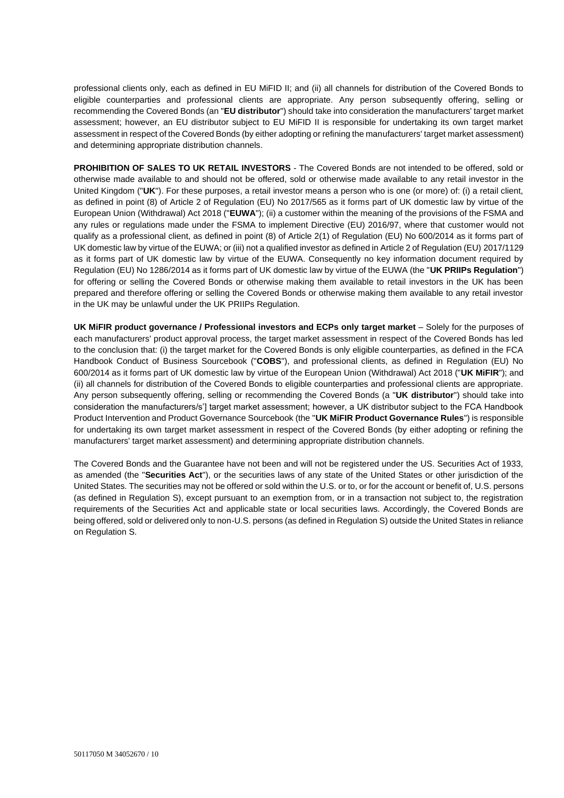professional clients only, each as defined in EU MiFID II; and (ii) all channels for distribution of the Covered Bonds to eligible counterparties and professional clients are appropriate. Any person subsequently offering, selling or recommending the Covered Bonds (an "**EU distributor**") should take into consideration the manufacturers' target market assessment; however, an EU distributor subject to EU MiFID II is responsible for undertaking its own target market assessment in respect of the Covered Bonds (by either adopting or refining the manufacturers' target market assessment) and determining appropriate distribution channels.

**PROHIBITION OF SALES TO UK RETAIL INVESTORS** - The Covered Bonds are not intended to be offered, sold or otherwise made available to and should not be offered, sold or otherwise made available to any retail investor in the United Kingdom ("**UK**"). For these purposes, a retail investor means a person who is one (or more) of: (i) a retail client, as defined in point (8) of Article 2 of Regulation (EU) No 2017/565 as it forms part of UK domestic law by virtue of the European Union (Withdrawal) Act 2018 ("**EUWA**"); (ii) a customer within the meaning of the provisions of the FSMA and any rules or regulations made under the FSMA to implement Directive (EU) 2016/97, where that customer would not qualify as a professional client, as defined in point (8) of Article 2(1) of Regulation (EU) No 600/2014 as it forms part of UK domestic law by virtue of the EUWA; or (iii) not a qualified investor as defined in Article 2 of Regulation (EU) 2017/1129 as it forms part of UK domestic law by virtue of the EUWA. Consequently no key information document required by Regulation (EU) No 1286/2014 as it forms part of UK domestic law by virtue of the EUWA (the "**UK PRIIPs Regulation**") for offering or selling the Covered Bonds or otherwise making them available to retail investors in the UK has been prepared and therefore offering or selling the Covered Bonds or otherwise making them available to any retail investor in the UK may be unlawful under the UK PRIIPs Regulation.

**UK MiFIR product governance / Professional investors and ECPs only target market** – Solely for the purposes of each manufacturers' product approval process, the target market assessment in respect of the Covered Bonds has led to the conclusion that: (i) the target market for the Covered Bonds is only eligible counterparties, as defined in the FCA Handbook Conduct of Business Sourcebook ("**COBS**"), and professional clients, as defined in Regulation (EU) No 600/2014 as it forms part of UK domestic law by virtue of the European Union (Withdrawal) Act 2018 ("**UK MiFIR**"); and (ii) all channels for distribution of the Covered Bonds to eligible counterparties and professional clients are appropriate. Any person subsequently offering, selling or recommending the Covered Bonds (a "**UK distributor**") should take into consideration the manufacturers/s'] target market assessment; however, a UK distributor subject to the FCA Handbook Product Intervention and Product Governance Sourcebook (the "**UK MiFIR Product Governance Rules**") is responsible for undertaking its own target market assessment in respect of the Covered Bonds (by either adopting or refining the manufacturers' target market assessment) and determining appropriate distribution channels.

The Covered Bonds and the Guarantee have not been and will not be registered under the US. Securities Act of 1933, as amended (the "**Securities Act**"), or the securities laws of any state of the United States or other jurisdiction of the United States. The securities may not be offered or sold within the U.S. or to, or for the account or benefit of, U.S. persons (as defined in Regulation S), except pursuant to an exemption from, or in a transaction not subject to, the registration requirements of the Securities Act and applicable state or local securities laws. Accordingly, the Covered Bonds are being offered, sold or delivered only to non-U.S. persons (as defined in Regulation S) outside the United States in reliance on Regulation S.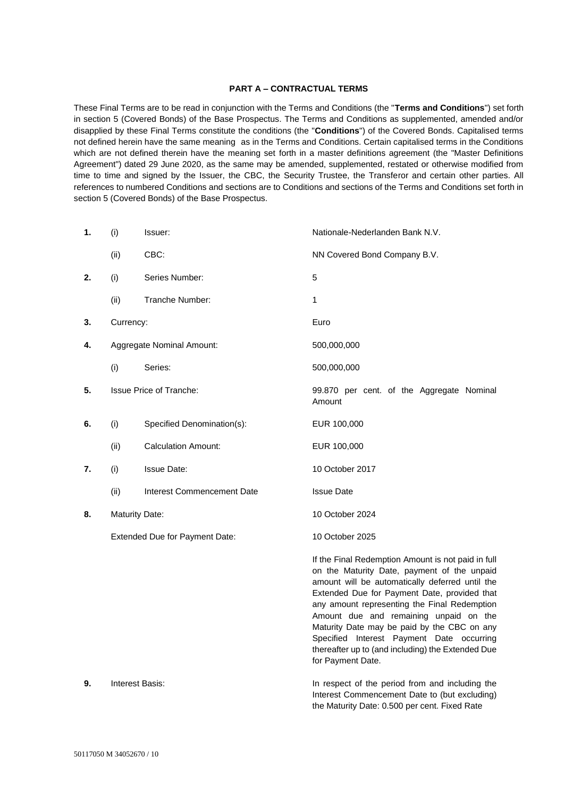### **PART A – CONTRACTUAL TERMS**

These Final Terms are to be read in conjunction with the Terms and Conditions (the "**Terms and Conditions**") set forth in section 5 (Covered Bonds) of the Base Prospectus. The Terms and Conditions as supplemented, amended and/or disapplied by these Final Terms constitute the conditions (the "**Conditions**") of the Covered Bonds. Capitalised terms not defined herein have the same meaning as in the Terms and Conditions. Certain capitalised terms in the Conditions which are not defined therein have the meaning set forth in a master definitions agreement (the "Master Definitions Agreement") dated 29 June 2020, as the same may be amended, supplemented, restated or otherwise modified from time to time and signed by the Issuer, the CBC, the Security Trustee, the Transferor and certain other parties. All references to numbered Conditions and sections are to Conditions and sections of the Terms and Conditions set forth in section 5 (Covered Bonds) of the Base Prospectus.

| 1. | (i)                            | Issuer:                    | Nationale-Nederlanden Bank N.V.                                                                                                                                                                                                                                                                                                                                                                                                                                      |
|----|--------------------------------|----------------------------|----------------------------------------------------------------------------------------------------------------------------------------------------------------------------------------------------------------------------------------------------------------------------------------------------------------------------------------------------------------------------------------------------------------------------------------------------------------------|
|    | (ii)                           | CBC:                       | NN Covered Bond Company B.V.                                                                                                                                                                                                                                                                                                                                                                                                                                         |
| 2. | (i)                            | Series Number:             | 5                                                                                                                                                                                                                                                                                                                                                                                                                                                                    |
|    | (ii)                           | Tranche Number:            | 1                                                                                                                                                                                                                                                                                                                                                                                                                                                                    |
| 3. | Currency:                      |                            | Euro                                                                                                                                                                                                                                                                                                                                                                                                                                                                 |
| 4. | Aggregate Nominal Amount:      |                            | 500,000,000                                                                                                                                                                                                                                                                                                                                                                                                                                                          |
|    | (i)                            | Series:                    | 500,000,000                                                                                                                                                                                                                                                                                                                                                                                                                                                          |
| 5. | <b>Issue Price of Tranche:</b> |                            | 99.870 per cent. of the Aggregate Nominal<br>Amount                                                                                                                                                                                                                                                                                                                                                                                                                  |
| 6. | (i)                            | Specified Denomination(s): | EUR 100,000                                                                                                                                                                                                                                                                                                                                                                                                                                                          |
|    | (ii)                           | <b>Calculation Amount:</b> | EUR 100,000                                                                                                                                                                                                                                                                                                                                                                                                                                                          |
| 7. | (i)                            | <b>Issue Date:</b>         | 10 October 2017                                                                                                                                                                                                                                                                                                                                                                                                                                                      |
|    | (ii)                           | Interest Commencement Date | <b>Issue Date</b>                                                                                                                                                                                                                                                                                                                                                                                                                                                    |
| 8. | <b>Maturity Date:</b>          |                            | 10 October 2024                                                                                                                                                                                                                                                                                                                                                                                                                                                      |
|    | Extended Due for Payment Date: |                            | 10 October 2025                                                                                                                                                                                                                                                                                                                                                                                                                                                      |
|    |                                |                            | If the Final Redemption Amount is not paid in full<br>on the Maturity Date, payment of the unpaid<br>amount will be automatically deferred until the<br>Extended Due for Payment Date, provided that<br>any amount representing the Final Redemption<br>Amount due and remaining unpaid on the<br>Maturity Date may be paid by the CBC on any<br>Specified Interest Payment Date occurring<br>thereafter up to (and including) the Extended Due<br>for Payment Date. |
| 9. | Interest Basis:                |                            | In respect of the period from and including the<br>Interest Commencement Date to (but excluding)<br>the Maturity Date: 0.500 per cent. Fixed Rate                                                                                                                                                                                                                                                                                                                    |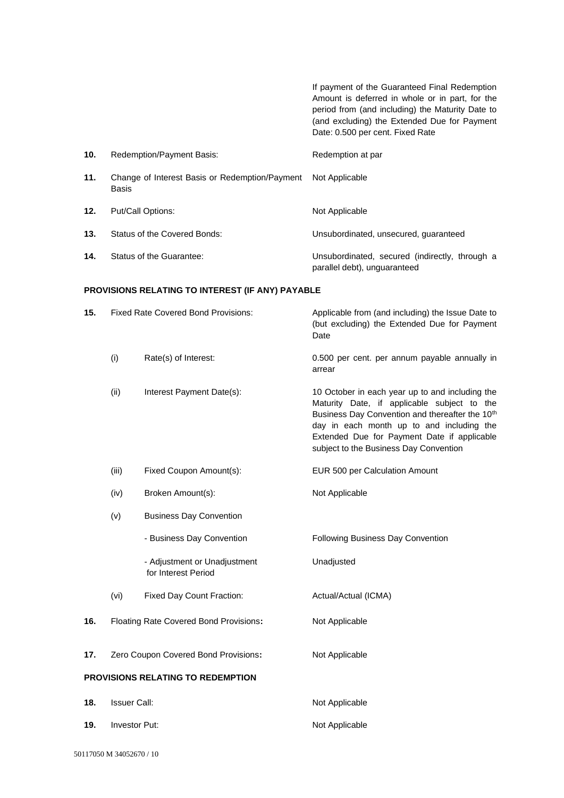If payment of the Guaranteed Final Redemption Amount is deferred in whole or in part, for the period from (and including) the Maturity Date to (and excluding) the Extended Due for Payment Date: 0.500 per cent. Fixed Rate **10.** Redemption/Payment Basis: Redemption at par **11.** Change of Interest Basis or Redemption/Payment Basis Not Applicable 12. Put/Call Options: Not Applicable **13.** Status of the Covered Bonds: Unsubordinated, unsecured, guaranteed **14.** Status of the Guarantee: Unsubordinated, secured (indirectly, through a parallel debt), unguaranteed

#### **PROVISIONS RELATING TO INTEREST (IF ANY) PAYABLE**

| 15.                               | <b>Fixed Rate Covered Bond Provisions:</b> |                                                     | Applicable from (and including) the Issue Date to<br>(but excluding) the Extended Due for Payment<br>Date                                                                                                                                                                                           |
|-----------------------------------|--------------------------------------------|-----------------------------------------------------|-----------------------------------------------------------------------------------------------------------------------------------------------------------------------------------------------------------------------------------------------------------------------------------------------------|
|                                   | (i)                                        | Rate(s) of Interest:                                | 0.500 per cent. per annum payable annually in<br>arrear                                                                                                                                                                                                                                             |
|                                   | (ii)                                       | Interest Payment Date(s):                           | 10 October in each year up to and including the<br>Maturity Date, if applicable subject to the<br>Business Day Convention and thereafter the 10 <sup>th</sup><br>day in each month up to and including the<br>Extended Due for Payment Date if applicable<br>subject to the Business Day Convention |
|                                   | (iii)                                      | Fixed Coupon Amount(s):                             | EUR 500 per Calculation Amount                                                                                                                                                                                                                                                                      |
|                                   | (iv)                                       | Broken Amount(s):                                   | Not Applicable                                                                                                                                                                                                                                                                                      |
|                                   | (v)                                        | <b>Business Day Convention</b>                      |                                                                                                                                                                                                                                                                                                     |
|                                   |                                            | - Business Day Convention                           | <b>Following Business Day Convention</b>                                                                                                                                                                                                                                                            |
|                                   |                                            | - Adjustment or Unadjustment<br>for Interest Period | Unadjusted                                                                                                                                                                                                                                                                                          |
|                                   | (vi)                                       | Fixed Day Count Fraction:                           | Actual/Actual (ICMA)                                                                                                                                                                                                                                                                                |
| 16.                               | Floating Rate Covered Bond Provisions:     |                                                     | Not Applicable                                                                                                                                                                                                                                                                                      |
| 17.                               | Zero Coupon Covered Bond Provisions:       |                                                     | Not Applicable                                                                                                                                                                                                                                                                                      |
| PROVISIONS RELATING TO REDEMPTION |                                            |                                                     |                                                                                                                                                                                                                                                                                                     |
| 18.                               | <b>Issuer Call:</b>                        |                                                     | Not Applicable                                                                                                                                                                                                                                                                                      |
| 19.                               | Investor Put:                              |                                                     | Not Applicable                                                                                                                                                                                                                                                                                      |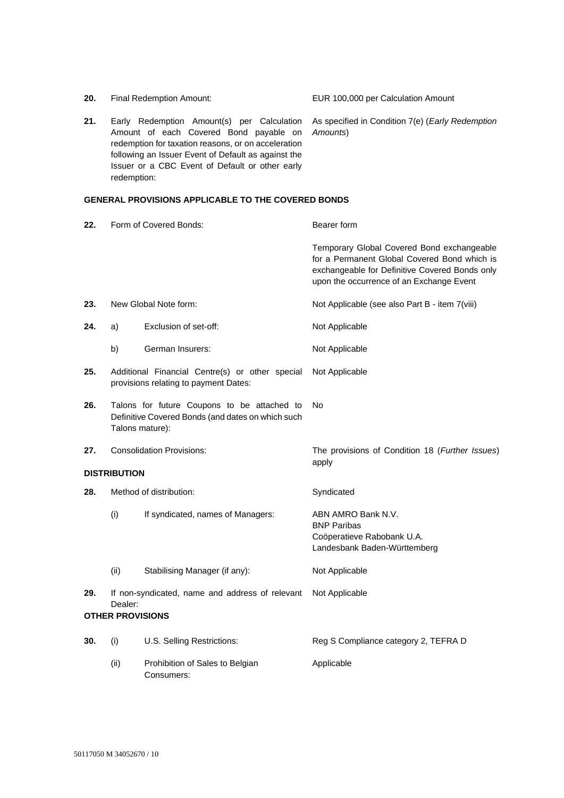|                     | ronoming an roodor Evont or Bordan do againot th<br>Issuer or a CBC Event of Default or other early<br>redemption:  |                                                           |                                                                                                                                                                                          |
|---------------------|---------------------------------------------------------------------------------------------------------------------|-----------------------------------------------------------|------------------------------------------------------------------------------------------------------------------------------------------------------------------------------------------|
|                     |                                                                                                                     | <b>GENERAL PROVISIONS APPLICABLE TO THE COVERED BONDS</b> |                                                                                                                                                                                          |
| 22.                 | Form of Covered Bonds:                                                                                              |                                                           | Bearer form                                                                                                                                                                              |
|                     |                                                                                                                     |                                                           | Temporary Global Covered Bond exchangeable<br>for a Permanent Global Covered Bond which is<br>exchangeable for Definitive Covered Bonds only<br>upon the occurrence of an Exchange Event |
| 23.                 | New Global Note form:                                                                                               |                                                           | Not Applicable (see also Part B - item 7(viii)                                                                                                                                           |
| 24.                 | a)                                                                                                                  | Exclusion of set-off:                                     | Not Applicable                                                                                                                                                                           |
|                     | b)                                                                                                                  | German Insurers:                                          | Not Applicable                                                                                                                                                                           |
| 25.                 | Additional Financial Centre(s) or other special<br>provisions relating to payment Dates:                            |                                                           | Not Applicable                                                                                                                                                                           |
| 26.                 | Talons for future Coupons to be attached to<br>Definitive Covered Bonds (and dates on which such<br>Talons mature): |                                                           | No                                                                                                                                                                                       |
| 27.                 | <b>Consolidation Provisions:</b>                                                                                    |                                                           | The provisions of Condition 18 (Further Issues)<br>apply                                                                                                                                 |
| <b>DISTRIBUTION</b> |                                                                                                                     |                                                           |                                                                                                                                                                                          |
| 28.                 | Method of distribution:                                                                                             |                                                           | Syndicated                                                                                                                                                                               |
|                     | (i)                                                                                                                 | If syndicated, names of Managers:                         | ABN AMRO Bank N.V.<br><b>BNP Paribas</b><br>Coöperatieve Rabobank U.A.<br>Landesbank Baden-Württemberg                                                                                   |
|                     | (ii)                                                                                                                | Stabilising Manager (if any):                             | Not Applicable                                                                                                                                                                           |
| 29.                 | If non-syndicated, name and address of relevant Not Applicable<br>Dealer:<br><b>OTHER PROVISIONS</b>                |                                                           |                                                                                                                                                                                          |
|                     |                                                                                                                     |                                                           |                                                                                                                                                                                          |
| 30.                 | (i)                                                                                                                 | U.S. Selling Restrictions:                                | Reg S Compliance category 2, TEFRA D                                                                                                                                                     |
|                     | (ii)                                                                                                                | Prohibition of Sales to Belgian<br>Consumers:             | Applicable                                                                                                                                                                               |

**21.** Early Redemption Amount(s) per Calculation As specified in Condition 7(e) (*Early Redemption*  Amount of each Covered Bond payable on redemption for taxation reasons, or on acceleration following an Issuer Event of Default as against the *Amounts*)

**20.** Final Redemption Amount: EUR 100,000 per Calculation Amount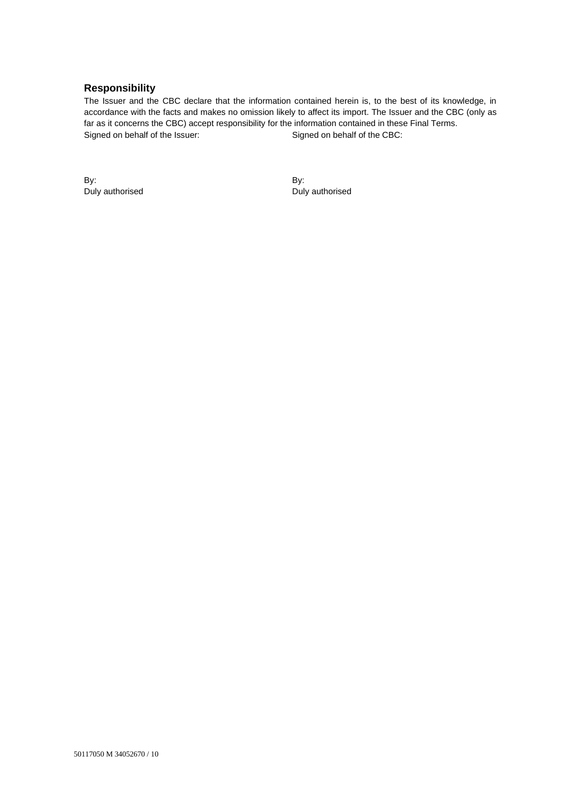# **Responsibility**

The Issuer and the CBC declare that the information contained herein is, to the best of its knowledge, in accordance with the facts and makes no omission likely to affect its import. The Issuer and the CBC (only as far as it concerns the CBC) accept responsibility for the information contained in these Final Terms. Signed on behalf of the Issuer:

By: Duly authorised By: Duly authorised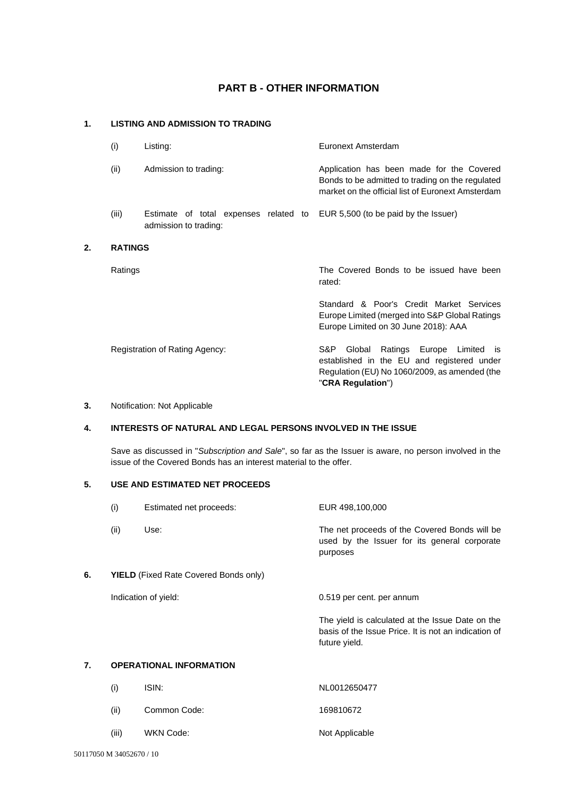# **PART B - OTHER INFORMATION**

## **1. LISTING AND ADMISSION TO TRADING**

| (i)            | Listing:                                                                                            | Euronext Amsterdam                                                                                                                                 |
|----------------|-----------------------------------------------------------------------------------------------------|----------------------------------------------------------------------------------------------------------------------------------------------------|
| (ii)           | Admission to trading:                                                                               | Application has been made for the Covered<br>Bonds to be admitted to trading on the regulated<br>market on the official list of Euronext Amsterdam |
| (iii)          | Estimate of total expenses related to EUR 5,500 (to be paid by the Issuer)<br>admission to trading: |                                                                                                                                                    |
| <b>RATINGS</b> |                                                                                                     |                                                                                                                                                    |
| Ratings        |                                                                                                     | The Covered Bonds to be issued have been<br>rated:                                                                                                 |
|                |                                                                                                     | Standard & Poor's Credit Market Services<br>Europe Limited (merged into S&P Global Ratings<br>Europe Limited on 30 June 2018): AAA                 |
|                | Registration of Rating Agency:                                                                      | Ratings Europe Limited is<br>S&P.<br>Global<br>established in the EU and registered under<br>Regulation (EU) No 1060/2009, as amended (the         |

### **3.** Notification: Not Applicable

**2. RATINGS**

### **4. INTERESTS OF NATURAL AND LEGAL PERSONS INVOLVED IN THE ISSUE**

Save as discussed in "*Subscription and Sale*", so far as the Issuer is aware, no person involved in the issue of the Covered Bonds has an interest material to the offer.

"**CRA Regulation**")

# **5. USE AND ESTIMATED NET PROCEEDS**

|    | (i)                                          | Estimated net proceeds:        | EUR 498,100,000                                                                                                           |
|----|----------------------------------------------|--------------------------------|---------------------------------------------------------------------------------------------------------------------------|
|    | (ii)                                         | Use:                           | The net proceeds of the Covered Bonds will be<br>used by the Issuer for its general corporate<br>purposes                 |
| 6. | <b>YIELD</b> (Fixed Rate Covered Bonds only) |                                |                                                                                                                           |
|    |                                              | Indication of yield:           | 0.519 per cent. per annum                                                                                                 |
|    |                                              |                                | The yield is calculated at the Issue Date on the<br>basis of the Issue Price. It is not an indication of<br>future yield. |
| 7. |                                              | <b>OPERATIONAL INFORMATION</b> |                                                                                                                           |

| (ii)  | Common Code: | 169810672      |
|-------|--------------|----------------|
| (iii) | WKN Code:    | Not Applicable |

(i) ISIN: NL0012650477